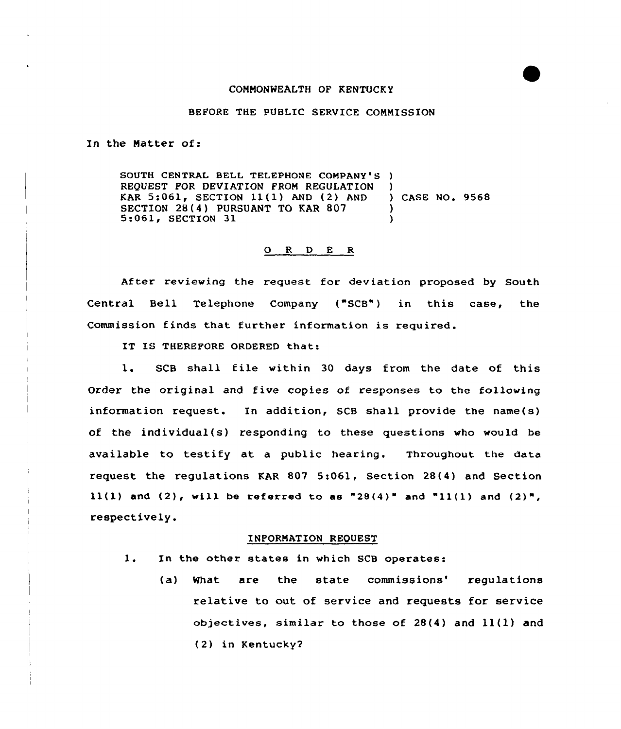## COMMONWEALTH OF KENTUCKY

## BEFORE THE PUBLIC SERVICE COMMISSION

In the Natter of:

SOUTH CENTRAL BELL TELEPHONE COMPANY'S ) REQUEST FOR DEVIATION FROM REGULATION KAR  $5:061$ , SECTION  $11(1)$  AND  $(2)$  AND SECTION 28(4) PURSUANT TO KAR 807<br>5:061, SECTION 31 ) ) CASE NO. 9568 ) )

## O R D E R

After reviewing the request for deviation proposed by South Central Bell Telephone Company ("SCB") in this case, the Commission finds that further information is required.

IT IS THEREFORE ORDERED that:

l. SCB shall file within <sup>30</sup> days from the date of this Order the original and five copies of responses to the following information request. In addition, SCB shall provide the name(s) of the individual(s) responding to these questions who would be available to testify at a public hearing. Throughout the data request the regulations KAR 807 5:061, Section 28(4) and Section  $11(1)$  and  $(2)$ , will be referred to as "28 $(4)$ " and "11 $(1)$  and  $(2)$ ", respectively.

## INFORMATION REQUEST

- $1.$ In the other states in which SCB operates:
	- (a) What are the state commissions' requlations relative to out of service and requests for service objectives, similar to those of  $28(4)$  and  $11(1)$  and (2) in Kentucky?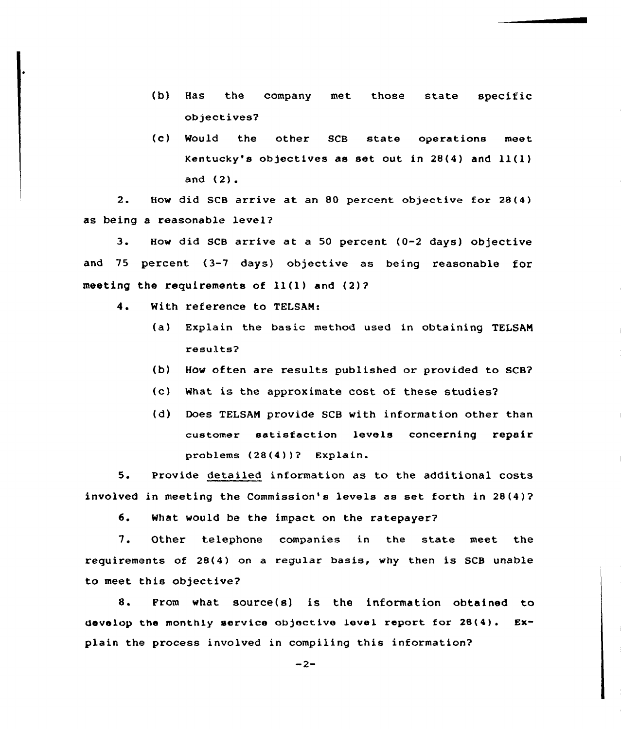- (b) Has the company met those state specific objectives?
- (c) Mould the other SCB state operations meet Kentucky's objectives as set out in 28(4) and ll(l) and (2).

2. How did SCB arrive at an 80 percent objective for 28(4} as being a reasonable level?

3. How did SCB arrive at <sup>a</sup> <sup>50</sup> percent (0-2 days) objective and 75 percent (3-7 days) objective as being reasonable for meeting the requirements of ll(l) and (2)?

- 4. With reference to TELSAN:
	- (a) Explain the basic method used in obtaining TELSAN results?
	- (b) How often are results published or provided to SCB?
	- (c) What is the approximate cost of these studies?
	- (d) Does TELSAN provide SCB with information other than customer satisfaction levels concerning repair problems (28(4))? Explain.

5. Provide detailed information as to the additional costs involved in meeting the Commission's levels as set forth in 28(4)?

6. What would be the impact on the ratepayer?

7. Other telephone companies in the state meet the requirements of 28(4} on a regular basis, why then is SCB unable to meet this objective?

8. From what source(s) is the information obtained to develop the monthly service objective level report for 28(4) . Explain the process involved in compiling this information?

 $-2-$